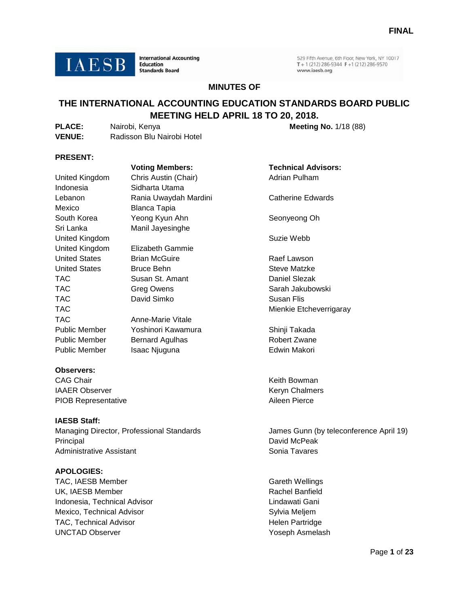

**International Accounting Education Standards Board** 

529 Fifth Avenue, 6th Floor, New York, NY 10017  $T + 1(212) 286 - 9344 F + 1(212) 286 - 9570$ www.iaesb.org

# **MINUTES OF**

# **THE INTERNATIONAL ACCOUNTING EDUCATION STANDARDS BOARD PUBLIC MEETING HELD APRIL 18 TO 20, 2018.**

| <b>PLACE:</b> | Nairobi, Kenya             |
|---------------|----------------------------|
| <b>VENUE:</b> | Radisson Blu Nairobi Hotel |

**Meeting No. 1/18 (88)** 

# **PRESENT:**

|                                              | <b>Voting Members:</b>  | <b>Technical Advisors:</b>              |  |  |
|----------------------------------------------|-------------------------|-----------------------------------------|--|--|
| Chris Austin (Chair)<br>United Kingdom       |                         | <b>Adrian Pulham</b>                    |  |  |
| Indonesia                                    | Sidharta Utama          |                                         |  |  |
| Lebanon                                      | Rania Uwaydah Mardini   | <b>Catherine Edwards</b>                |  |  |
| Mexico                                       | <b>Blanca Tapia</b>     |                                         |  |  |
| South Korea                                  | Yeong Kyun Ahn          | Seonyeong Oh                            |  |  |
| Sri Lanka                                    | Manil Jayesinghe        |                                         |  |  |
| United Kingdom                               |                         | Suzie Webb                              |  |  |
| United Kingdom                               | <b>Elizabeth Gammie</b> |                                         |  |  |
| <b>United States</b><br><b>Brian McGuire</b> |                         | Raef Lawson                             |  |  |
| <b>United States</b>                         | <b>Bruce Behn</b>       | Steve Matzke                            |  |  |
| TAC                                          | Susan St. Amant         | Daniel Slezak                           |  |  |
| <b>TAC</b>                                   | <b>Greg Owens</b>       | Sarah Jakubowski                        |  |  |
| <b>TAC</b>                                   | David Simko             | Susan Flis                              |  |  |
| <b>TAC</b>                                   |                         | Mienkie Etcheverrigaray                 |  |  |
| <b>TAC</b>                                   | Anne-Marie Vitale       |                                         |  |  |
| <b>Public Member</b>                         | Yoshinori Kawamura      | Shinji Takada                           |  |  |
| <b>Public Member</b>                         | <b>Bernard Agulhas</b>  | <b>Robert Zwane</b>                     |  |  |
| <b>Public Member</b>                         | Isaac Njuguna           | Edwin Makori                            |  |  |
| <b>Observers:</b>                            |                         |                                         |  |  |
| <b>CAG Chair</b>                             |                         | Keith Bowman                            |  |  |
| <b>IAAER Observer</b>                        |                         | Keryn Chalmers                          |  |  |
| <b>PIOB Representative</b>                   |                         | Aileen Pierce                           |  |  |
| <b>IAESB Staff:</b>                          |                         |                                         |  |  |
| Managing Director, Professional Standards    |                         | James Gunn (by teleconference April 19) |  |  |
| Principal                                    |                         | David McPeak                            |  |  |
| <b>Administrative Assistant</b>              |                         | Sonia Tavares                           |  |  |

## **APOLOGIES:**

TAC, IAESB Member Gareth Wellings and TAC, IAESB Member UK, IAESB Member **Rachel Banfield Rachel Banfield** Indonesia, Technical Advisor **Lindawati Gani** Mexico, Technical Advisor Sylvia Meljem TAC, Technical Advisor **Helen Partridge** UNCTAD Observer The Contract of the Contract of The Yoseph Asmelash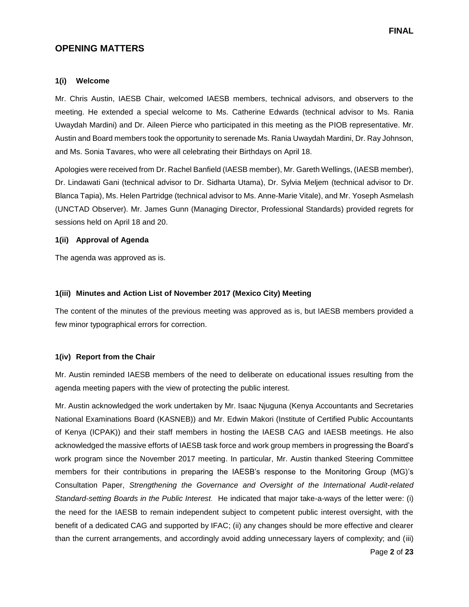# **OPENING MATTERS**

#### **1(i) Welcome**

Mr. Chris Austin, IAESB Chair, welcomed IAESB members, technical advisors, and observers to the meeting. He extended a special welcome to Ms. Catherine Edwards (technical advisor to Ms. Rania Uwaydah Mardini) and Dr. Aileen Pierce who participated in this meeting as the PIOB representative. Mr. Austin and Board members took the opportunity to serenade Ms. Rania Uwaydah Mardini, Dr. Ray Johnson, and Ms. Sonia Tavares, who were all celebrating their Birthdays on April 18.

Apologies were received from Dr. Rachel Banfield (IAESB member), Mr. Gareth Wellings, (IAESB member), Dr. Lindawati Gani (technical advisor to Dr. Sidharta Utama), Dr. Sylvia Meljem (technical advisor to Dr. Blanca Tapia), Ms. Helen Partridge (technical advisor to Ms. Anne-Marie Vitale), and Mr. Yoseph Asmelash (UNCTAD Observer). Mr. James Gunn (Managing Director, Professional Standards) provided regrets for sessions held on April 18 and 20.

#### **1(ii) Approval of Agenda**

The agenda was approved as is.

#### **1(iii) Minutes and Action List of November 2017 (Mexico City) Meeting**

The content of the minutes of the previous meeting was approved as is, but IAESB members provided a few minor typographical errors for correction.

#### **1(iv) Report from the Chair**

Mr. Austin reminded IAESB members of the need to deliberate on educational issues resulting from the agenda meeting papers with the view of protecting the public interest.

Mr. Austin acknowledged the work undertaken by Mr. Isaac Njuguna (Kenya Accountants and Secretaries National Examinations Board (KASNEB)) and Mr. Edwin Makori (Institute of Certified Public Accountants of Kenya (ICPAK)) and their staff members in hosting the IAESB CAG and IAESB meetings. He also acknowledged the massive efforts of IAESB task force and work group members in progressing the Board's work program since the November 2017 meeting. In particular, Mr. Austin thanked Steering Committee members for their contributions in preparing the IAESB's response to the Monitoring Group (MG)'s Consultation Paper, *Strengthening the Governance and Oversight of the International Audit-related Standard-setting Boards in the Public Interest.* He indicated that major take-a-ways of the letter were: (i) the need for the IAESB to remain independent subject to competent public interest oversight, with the benefit of a dedicated CAG and supported by IFAC; (ii) any changes should be more effective and clearer than the current arrangements, and accordingly avoid adding unnecessary layers of complexity; and (iii)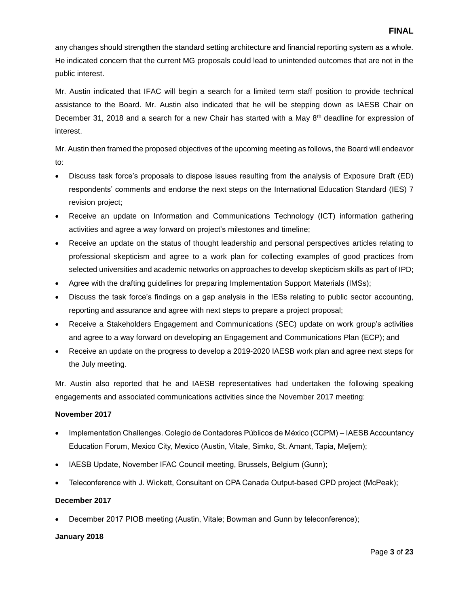any changes should strengthen the standard setting architecture and financial reporting system as a whole. He indicated concern that the current MG proposals could lead to unintended outcomes that are not in the public interest.

Mr. Austin indicated that IFAC will begin a search for a limited term staff position to provide technical assistance to the Board. Mr. Austin also indicated that he will be stepping down as IAESB Chair on December 31, 2018 and a search for a new Chair has started with a May  $8<sup>th</sup>$  deadline for expression of interest.

Mr. Austin then framed the proposed objectives of the upcoming meeting as follows, the Board will endeavor to:

- Discuss task force's proposals to dispose issues resulting from the analysis of Exposure Draft (ED) respondents' comments and endorse the next steps on the International Education Standard (IES) 7 revision project;
- Receive an update on Information and Communications Technology (ICT) information gathering activities and agree a way forward on project's milestones and timeline;
- Receive an update on the status of thought leadership and personal perspectives articles relating to professional skepticism and agree to a work plan for collecting examples of good practices from selected universities and academic networks on approaches to develop skepticism skills as part of IPD;
- Agree with the drafting guidelines for preparing Implementation Support Materials (IMSs);
- Discuss the task force's findings on a gap analysis in the IESs relating to public sector accounting, reporting and assurance and agree with next steps to prepare a project proposal;
- Receive a Stakeholders Engagement and Communications (SEC) update on work group's activities and agree to a way forward on developing an Engagement and Communications Plan (ECP); and
- Receive an update on the progress to develop a 2019-2020 IAESB work plan and agree next steps for the July meeting.

Mr. Austin also reported that he and IAESB representatives had undertaken the following speaking engagements and associated communications activities since the November 2017 meeting:

# **November 2017**

- Implementation Challenges. Colegio de Contadores Públicos de México (CCPM) IAESB Accountancy Education Forum, Mexico City, Mexico (Austin, Vitale, Simko, St. Amant, Tapia, Meljem);
- IAESB Update, November IFAC Council meeting, Brussels, Belgium (Gunn);
- Teleconference with J. Wickett, Consultant on CPA Canada Output-based CPD project (McPeak);

# **December 2017**

December 2017 PIOB meeting (Austin, Vitale; Bowman and Gunn by teleconference);

#### **January 2018**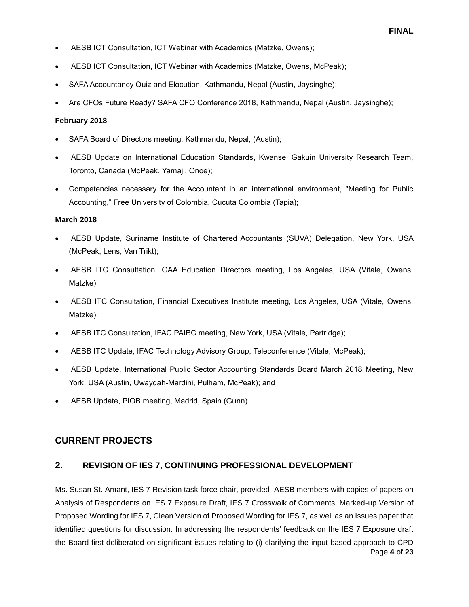- IAESB ICT Consultation, ICT Webinar with Academics (Matzke, Owens);
- IAESB ICT Consultation, ICT Webinar with Academics (Matzke, Owens, McPeak);
- SAFA Accountancy Quiz and Elocution, Kathmandu, Nepal (Austin, Jaysinghe);
- Are CFOs Future Ready? SAFA CFO Conference 2018, Kathmandu, Nepal (Austin, Jaysinghe);

#### **February 2018**

- SAFA Board of Directors meeting, Kathmandu, Nepal, (Austin);
- IAESB Update on International Education Standards, Kwansei Gakuin University Research Team, Toronto, Canada (McPeak, Yamaji, Onoe);
- Competencies necessary for the Accountant in an international environment, "Meeting for Public Accounting," Free University of Colombia, Cucuta Colombia (Tapia);

# **March 2018**

- IAESB Update, Suriname Institute of Chartered Accountants (SUVA) Delegation, New York, USA (McPeak, Lens, Van Trikt);
- IAESB ITC Consultation, GAA Education Directors meeting, Los Angeles, USA (Vitale, Owens, Matzke);
- IAESB ITC Consultation, Financial Executives Institute meeting, Los Angeles, USA (Vitale, Owens, Matzke);
- IAESB ITC Consultation, IFAC PAIBC meeting, New York, USA (Vitale, Partridge);
- IAESB ITC Update, IFAC Technology Advisory Group, Teleconference (Vitale, McPeak);
- IAESB Update, International Public Sector Accounting Standards Board March 2018 Meeting, New York, USA (Austin, Uwaydah-Mardini, Pulham, McPeak); and
- IAESB Update, PIOB meeting, Madrid, Spain (Gunn).

# **CURRENT PROJECTS**

# **2. REVISION OF IES 7, CONTINUING PROFESSIONAL DEVELOPMENT**

Page **4** of **23** Ms. Susan St. Amant, IES 7 Revision task force chair, provided IAESB members with copies of papers on Analysis of Respondents on IES 7 Exposure Draft, IES 7 Crosswalk of Comments, Marked-up Version of Proposed Wording for IES 7, Clean Version of Proposed Wording for IES 7, as well as an Issues paper that identified questions for discussion. In addressing the respondents' feedback on the IES 7 Exposure draft the Board first deliberated on significant issues relating to (i) clarifying the input-based approach to CPD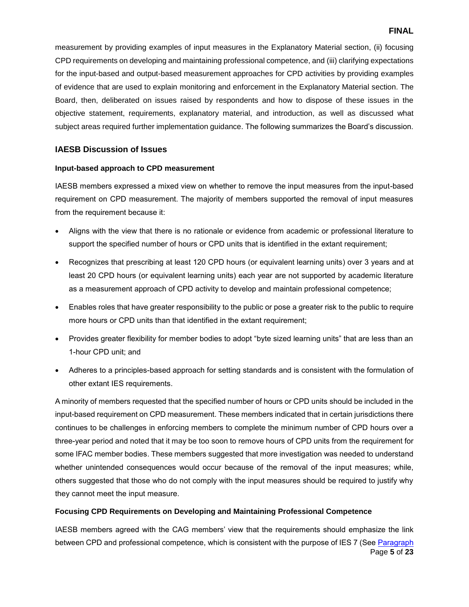measurement by providing examples of input measures in the Explanatory Material section, (ii) focusing CPD requirements on developing and maintaining professional competence, and (iii) clarifying expectations for the input-based and output-based measurement approaches for CPD activities by providing examples of evidence that are used to explain monitoring and enforcement in the Explanatory Material section. The Board, then, deliberated on issues raised by respondents and how to dispose of these issues in the objective statement, requirements, explanatory material, and introduction, as well as discussed what subject areas required further implementation guidance. The following summarizes the Board's discussion.

# **IAESB Discussion of Issues**

## **Input-based approach to CPD measurement**

IAESB members expressed a mixed view on whether to remove the input measures from the input-based requirement on CPD measurement. The majority of members supported the removal of input measures from the requirement because it:

- Aligns with the view that there is no rationale or evidence from academic or professional literature to support the specified number of hours or CPD units that is identified in the extant requirement;
- Recognizes that prescribing at least 120 CPD hours (or equivalent learning units) over 3 years and at least 20 CPD hours (or equivalent learning units) each year are not supported by academic literature as a measurement approach of CPD activity to develop and maintain professional competence;
- Enables roles that have greater responsibility to the public or pose a greater risk to the public to require more hours or CPD units than that identified in the extant requirement;
- Provides greater flexibility for member bodies to adopt "byte sized learning units" that are less than an 1-hour CPD unit; and
- Adheres to a principles-based approach for setting standards and is consistent with the formulation of other extant IES requirements.

A minority of members requested that the specified number of hours or CPD units should be included in the input-based requirement on CPD measurement. These members indicated that in certain jurisdictions there continues to be challenges in enforcing members to complete the minimum number of CPD hours over a three-year period and noted that it may be too soon to remove hours of CPD units from the requirement for some IFAC member bodies. These members suggested that more investigation was needed to understand whether unintended consequences would occur because of the removal of the input measures; while, others suggested that those who do not comply with the input measures should be required to justify why they cannot meet the input measure.

# **Focusing CPD Requirements on Developing and Maintaining Professional Competence**

Page **5** of **23** IAESB members agreed with the CAG members' view that the requirements should emphasize the link between CPD and professional competence, which is consistent with the purpose of IES 7 (See Paragraph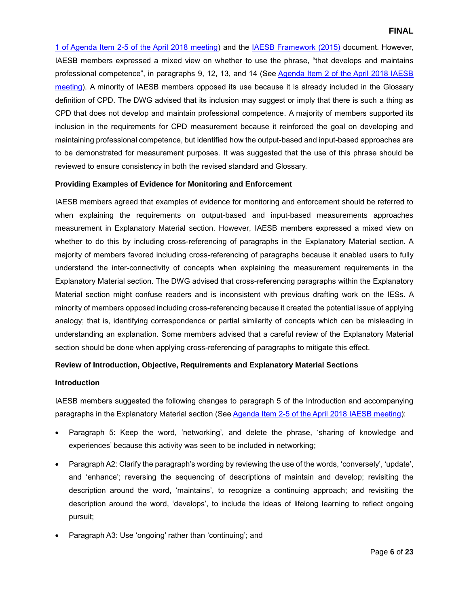1 of Agenda Item 2-5 [of the April 2018 meeting\)](http://www.iaesb.org/system/files/meetings/files/2-5-Proposed-Wording-of-IES-7-revised-Clean.pdf) and the [IAESB Framework \(2015\)](http://www.ifac.org/publications-resources/2017-handbook-international-education-pronouncements) document. However, IAESB members expressed a mixed view on whether to use the phrase, "that develops and maintains professional competence", in paragraphs 9, 12, 13, and 14 (See [Agenda Item 2 of the April 2018 IAESB](http://www.iaesb.org/system/files/meetings/files/Agenda-2-IES-7-Continuing-Professional-Development.pdf)  [meeting\)](http://www.iaesb.org/system/files/meetings/files/Agenda-2-IES-7-Continuing-Professional-Development.pdf). A minority of IAESB members opposed its use because it is already included in the Glossary definition of CPD. The DWG advised that its inclusion may suggest or imply that there is such a thing as CPD that does not develop and maintain professional competence. A majority of members supported its inclusion in the requirements for CPD measurement because it reinforced the goal on developing and maintaining professional competence, but identified how the output-based and input-based approaches are to be demonstrated for measurement purposes. It was suggested that the use of this phrase should be reviewed to ensure consistency in both the revised standard and Glossary.

## **Providing Examples of Evidence for Monitoring and Enforcement**

IAESB members agreed that examples of evidence for monitoring and enforcement should be referred to when explaining the requirements on output-based and input-based measurements approaches measurement in Explanatory Material section. However, IAESB members expressed a mixed view on whether to do this by including cross-referencing of paragraphs in the Explanatory Material section. A majority of members favored including cross-referencing of paragraphs because it enabled users to fully understand the inter-connectivity of concepts when explaining the measurement requirements in the Explanatory Material section. The DWG advised that cross-referencing paragraphs within the Explanatory Material section might confuse readers and is inconsistent with previous drafting work on the IESs. A minority of members opposed including cross-referencing because it created the potential issue of applying analogy; that is, identifying correspondence or partial similarity of concepts which can be misleading in understanding an explanation. Some members advised that a careful review of the Explanatory Material section should be done when applying cross-referencing of paragraphs to mitigate this effect.

# **Review of Introduction, Objective, Requirements and Explanatory Material Sections**

#### **Introduction**

IAESB members suggested the following changes to paragraph 5 of the Introduction and accompanying paragraphs in the Explanatory Material section (Se[e Agenda Item 2-5 of the April 2018 IAESB meeting\)](http://www.iaesb.org/system/files/meetings/files/2-5-Proposed-Wording-of-IES-7-revised-Clean.pdf):

- Paragraph 5: Keep the word, 'networking', and delete the phrase, 'sharing of knowledge and experiences' because this activity was seen to be included in networking;
- Paragraph A2: Clarify the paragraph's wording by reviewing the use of the words, 'conversely', 'update', and 'enhance'; reversing the sequencing of descriptions of maintain and develop; revisiting the description around the word, 'maintains', to recognize a continuing approach; and revisiting the description around the word, 'develops', to include the ideas of lifelong learning to reflect ongoing pursuit;
- Paragraph A3: Use 'ongoing' rather than 'continuing'; and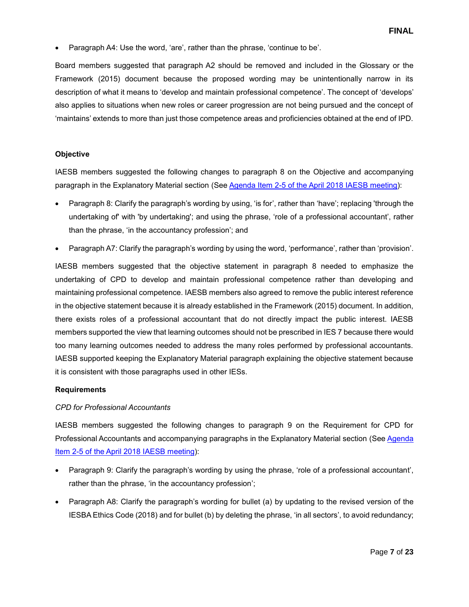Paragraph A4: Use the word, 'are', rather than the phrase, 'continue to be'.

Board members suggested that paragraph A2 should be removed and included in the Glossary or the Framework (2015) document because the proposed wording may be unintentionally narrow in its description of what it means to 'develop and maintain professional competence'. The concept of 'develops' also applies to situations when new roles or career progression are not being pursued and the concept of 'maintains' extends to more than just those competence areas and proficiencies obtained at the end of IPD.

## **Objective**

IAESB members suggested the following changes to paragraph 8 on the Objective and accompanying paragraph in the Explanatory Material section (Se[e Agenda Item 2-5 of the April 2018 IAESB meeting\)](http://www.iaesb.org/system/files/meetings/files/2-5-Proposed-Wording-of-IES-7-revised-Clean.pdf):

- Paragraph 8: Clarify the paragraph's wording by using, 'is for', rather than 'have'; replacing 'through the undertaking of' with 'by undertaking'; and using the phrase, 'role of a professional accountant', rather than the phrase, 'in the accountancy profession'; and
- Paragraph A7: Clarify the paragraph's wording by using the word, 'performance', rather than 'provision'.

IAESB members suggested that the objective statement in paragraph 8 needed to emphasize the undertaking of CPD to develop and maintain professional competence rather than developing and maintaining professional competence. IAESB members also agreed to remove the public interest reference in the objective statement because it is already established in the Framework (2015) document. In addition, there exists roles of a professional accountant that do not directly impact the public interest. IAESB members supported the view that learning outcomes should not be prescribed in IES 7 because there would too many learning outcomes needed to address the many roles performed by professional accountants. IAESB supported keeping the Explanatory Material paragraph explaining the objective statement because it is consistent with those paragraphs used in other IESs.

#### **Requirements**

#### *CPD for Professional Accountants*

IAESB members suggested the following changes to paragraph 9 on the Requirement for CPD for Professional Accountants and accompanying paragraphs in the Explanatory Material section (Se[e Agenda](http://www.iaesb.org/system/files/meetings/files/2-5-Proposed-Wording-of-IES-7-revised-Clean.pdf)  [Item 2-5 of the April 2018 IAESB meeting\)](http://www.iaesb.org/system/files/meetings/files/2-5-Proposed-Wording-of-IES-7-revised-Clean.pdf):

- Paragraph 9: Clarify the paragraph's wording by using the phrase, 'role of a professional accountant', rather than the phrase, 'in the accountancy profession';
- Paragraph A8: Clarify the paragraph's wording for bullet (a) by updating to the revised version of the IESBA Ethics Code (2018) and for bullet (b) by deleting the phrase, 'in all sectors', to avoid redundancy;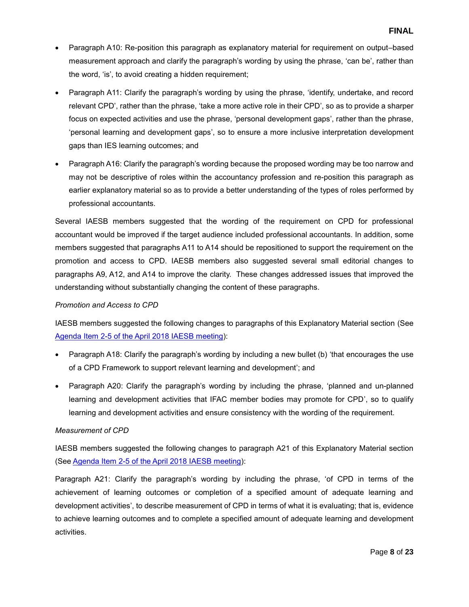- Paragraph A10: Re-position this paragraph as explanatory material for requirement on output–based measurement approach and clarify the paragraph's wording by using the phrase, 'can be', rather than the word, 'is', to avoid creating a hidden requirement;
- Paragraph A11: Clarify the paragraph's wording by using the phrase, 'identify, undertake, and record relevant CPD', rather than the phrase, 'take a more active role in their CPD', so as to provide a sharper focus on expected activities and use the phrase, 'personal development gaps', rather than the phrase, 'personal learning and development gaps', so to ensure a more inclusive interpretation development gaps than IES learning outcomes; and
- Paragraph A16: Clarify the paragraph's wording because the proposed wording may be too narrow and may not be descriptive of roles within the accountancy profession and re-position this paragraph as earlier explanatory material so as to provide a better understanding of the types of roles performed by professional accountants.

Several IAESB members suggested that the wording of the requirement on CPD for professional accountant would be improved if the target audience included professional accountants. In addition, some members suggested that paragraphs A11 to A14 should be repositioned to support the requirement on the promotion and access to CPD. IAESB members also suggested several small editorial changes to paragraphs A9, A12, and A14 to improve the clarity. These changes addressed issues that improved the understanding without substantially changing the content of these paragraphs.

# *Promotion and Access to CPD*

IAESB members suggested the following changes to paragraphs of this Explanatory Material section (See [Agenda Item 2-5 of the April 2018 IAESB meeting\)](http://www.iaesb.org/system/files/meetings/files/2-5-Proposed-Wording-of-IES-7-revised-Clean.pdf):

- Paragraph A18: Clarify the paragraph's wording by including a new bullet (b) 'that encourages the use of a CPD Framework to support relevant learning and development'; and
- Paragraph A20: Clarify the paragraph's wording by including the phrase, 'planned and un-planned learning and development activities that IFAC member bodies may promote for CPD', so to qualify learning and development activities and ensure consistency with the wording of the requirement.

#### *Measurement of CPD*

IAESB members suggested the following changes to paragraph A21 of this Explanatory Material section (Se[e Agenda Item 2-5 of the April 2018 IAESB meeting\)](http://www.iaesb.org/system/files/meetings/files/2-5-Proposed-Wording-of-IES-7-revised-Clean.pdf):

Paragraph A21: Clarify the paragraph's wording by including the phrase, 'of CPD in terms of the achievement of learning outcomes or completion of a specified amount of adequate learning and development activities', to describe measurement of CPD in terms of what it is evaluating; that is, evidence to achieve learning outcomes and to complete a specified amount of adequate learning and development activities.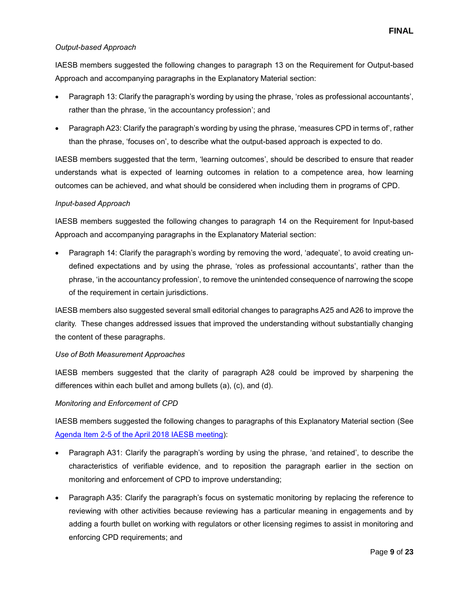## *Output-based Approach*

IAESB members suggested the following changes to paragraph 13 on the Requirement for Output-based Approach and accompanying paragraphs in the Explanatory Material section:

- Paragraph 13: Clarify the paragraph's wording by using the phrase, 'roles as professional accountants', rather than the phrase, 'in the accountancy profession'; and
- Paragraph A23: Clarify the paragraph's wording by using the phrase, 'measures CPD in terms of', rather than the phrase, 'focuses on', to describe what the output-based approach is expected to do.

IAESB members suggested that the term, 'learning outcomes', should be described to ensure that reader understands what is expected of learning outcomes in relation to a competence area, how learning outcomes can be achieved, and what should be considered when including them in programs of CPD.

## *Input-based Approach*

IAESB members suggested the following changes to paragraph 14 on the Requirement for Input-based Approach and accompanying paragraphs in the Explanatory Material section:

 Paragraph 14: Clarify the paragraph's wording by removing the word, 'adequate', to avoid creating undefined expectations and by using the phrase, 'roles as professional accountants', rather than the phrase, 'in the accountancy profession', to remove the unintended consequence of narrowing the scope of the requirement in certain jurisdictions.

IAESB members also suggested several small editorial changes to paragraphs A25 and A26 to improve the clarity. These changes addressed issues that improved the understanding without substantially changing the content of these paragraphs.

#### *Use of Both Measurement Approaches*

IAESB members suggested that the clarity of paragraph A28 could be improved by sharpening the differences within each bullet and among bullets (a), (c), and (d).

# *Monitoring and Enforcement of CPD*

IAESB members suggested the following changes to paragraphs of this Explanatory Material section (See [Agenda Item 2-5 of the April 2018 IAESB meeting\)](http://www.iaesb.org/system/files/meetings/files/2-5-Proposed-Wording-of-IES-7-revised-Clean.pdf):

- Paragraph A31: Clarify the paragraph's wording by using the phrase, 'and retained', to describe the characteristics of verifiable evidence, and to reposition the paragraph earlier in the section on monitoring and enforcement of CPD to improve understanding;
- Paragraph A35: Clarify the paragraph's focus on systematic monitoring by replacing the reference to reviewing with other activities because reviewing has a particular meaning in engagements and by adding a fourth bullet on working with regulators or other licensing regimes to assist in monitoring and enforcing CPD requirements; and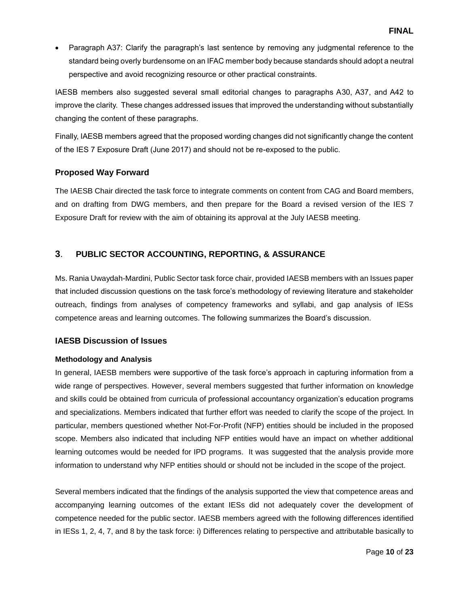Paragraph A37: Clarify the paragraph's last sentence by removing any judgmental reference to the standard being overly burdensome on an IFAC member body because standards should adopt a neutral perspective and avoid recognizing resource or other practical constraints.

IAESB members also suggested several small editorial changes to paragraphs A30, A37, and A42 to improve the clarity. These changes addressed issues that improved the understanding without substantially changing the content of these paragraphs.

Finally, IAESB members agreed that the proposed wording changes did not significantly change the content of the IES 7 Exposure Draft (June 2017) and should not be re-exposed to the public.

# **Proposed Way Forward**

The IAESB Chair directed the task force to integrate comments on content from CAG and Board members, and on drafting from DWG members, and then prepare for the Board a revised version of the IES 7 Exposure Draft for review with the aim of obtaining its approval at the July IAESB meeting.

# **3**. **PUBLIC SECTOR ACCOUNTING, REPORTING, & ASSURANCE**

Ms. Rania Uwaydah-Mardini, Public Sector task force chair, provided IAESB members with an Issues paper that included discussion questions on the task force's methodology of reviewing literature and stakeholder outreach, findings from analyses of competency frameworks and syllabi, and gap analysis of IESs competence areas and learning outcomes. The following summarizes the Board's discussion.

# **IAESB Discussion of Issues**

# **Methodology and Analysis**

In general, IAESB members were supportive of the task force's approach in capturing information from a wide range of perspectives. However, several members suggested that further information on knowledge and skills could be obtained from curricula of professional accountancy organization's education programs and specializations. Members indicated that further effort was needed to clarify the scope of the project. In particular, members questioned whether Not-For-Profit (NFP) entities should be included in the proposed scope. Members also indicated that including NFP entities would have an impact on whether additional learning outcomes would be needed for IPD programs. It was suggested that the analysis provide more information to understand why NFP entities should or should not be included in the scope of the project.

Several members indicated that the findings of the analysis supported the view that competence areas and accompanying learning outcomes of the extant IESs did not adequately cover the development of competence needed for the public sector. IAESB members agreed with the following differences identified in IESs 1, 2, 4, 7, and 8 by the task force: i) Differences relating to perspective and attributable basically to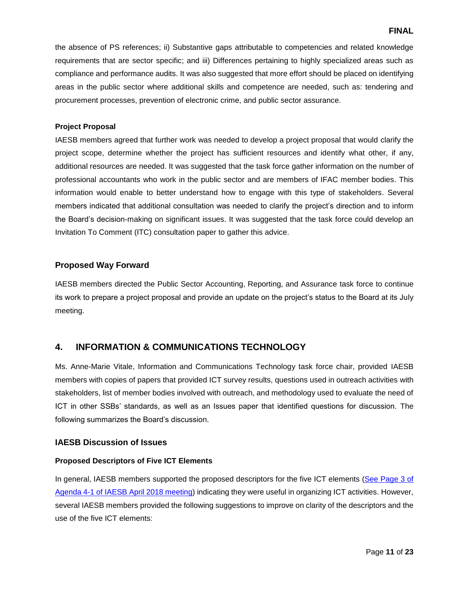## **FINAL**

the absence of PS references; ii) Substantive gaps attributable to competencies and related knowledge requirements that are sector specific; and iii) Differences pertaining to highly specialized areas such as compliance and performance audits. It was also suggested that more effort should be placed on identifying areas in the public sector where additional skills and competence are needed, such as: tendering and procurement processes, prevention of electronic crime, and public sector assurance.

#### **Project Proposal**

IAESB members agreed that further work was needed to develop a project proposal that would clarify the project scope, determine whether the project has sufficient resources and identify what other, if any, additional resources are needed. It was suggested that the task force gather information on the number of professional accountants who work in the public sector and are members of IFAC member bodies. This information would enable to better understand how to engage with this type of stakeholders. Several members indicated that additional consultation was needed to clarify the project's direction and to inform the Board's decision-making on significant issues. It was suggested that the task force could develop an Invitation To Comment (ITC) consultation paper to gather this advice.

## **Proposed Way Forward**

IAESB members directed the Public Sector Accounting, Reporting, and Assurance task force to continue its work to prepare a project proposal and provide an update on the project's status to the Board at its July meeting.

# **4. INFORMATION & COMMUNICATIONS TECHNOLOGY**

Ms. Anne-Marie Vitale, Information and Communications Technology task force chair, provided IAESB members with copies of papers that provided ICT survey results, questions used in outreach activities with stakeholders, list of member bodies involved with outreach, and methodology used to evaluate the need of ICT in other SSBs' standards, as well as an Issues paper that identified questions for discussion. The following summarizes the Board's discussion.

#### **IAESB Discussion of Issues**

#### **Proposed Descriptors of Five ICT Elements**

In general, IAESB members supported the proposed descriptors for the five ICT elements (See Page 3 of [Agenda 4-1 of IAESB April 2018 meeting\)](http://www.iaesb.org/system/files/meetings/files/4-1-ICT-Issues-Paper_2.pdf) indicating they were useful in organizing ICT activities. However, several IAESB members provided the following suggestions to improve on clarity of the descriptors and the use of the five ICT elements: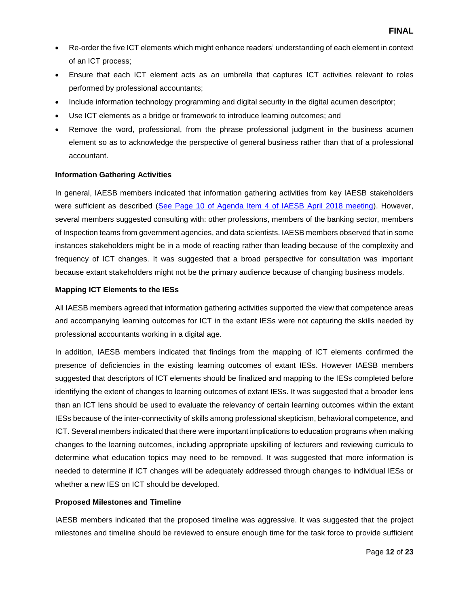- Re-order the five ICT elements which might enhance readers' understanding of each element in context of an ICT process;
- Ensure that each ICT element acts as an umbrella that captures ICT activities relevant to roles performed by professional accountants;
- Include information technology programming and digital security in the digital acumen descriptor;
- Use ICT elements as a bridge or framework to introduce learning outcomes; and
- Remove the word, professional, from the phrase professional judgment in the business acumen element so as to acknowledge the perspective of general business rather than that of a professional accountant.

## **Information Gathering Activities**

In general, IAESB members indicated that information gathering activities from key IAESB stakeholders were sufficient as described [\(See Page 10 of Agenda Item 4 of IAESB April 2018 meeting\)](http://www.iaesb.org/system/files/meetings/files/Agenda-4-Information-Communications-Technology.pdf). However, several members suggested consulting with: other professions, members of the banking sector, members of Inspection teams from government agencies, and data scientists. IAESB members observed that in some instances stakeholders might be in a mode of reacting rather than leading because of the complexity and frequency of ICT changes. It was suggested that a broad perspective for consultation was important because extant stakeholders might not be the primary audience because of changing business models.

## **Mapping ICT Elements to the IESs**

All IAESB members agreed that information gathering activities supported the view that competence areas and accompanying learning outcomes for ICT in the extant IESs were not capturing the skills needed by professional accountants working in a digital age.

In addition, IAESB members indicated that findings from the mapping of ICT elements confirmed the presence of deficiencies in the existing learning outcomes of extant IESs. However IAESB members suggested that descriptors of ICT elements should be finalized and mapping to the IESs completed before identifying the extent of changes to learning outcomes of extant IESs. It was suggested that a broader lens than an ICT lens should be used to evaluate the relevancy of certain learning outcomes within the extant IESs because of the inter-connectivity of skills among professional skepticism, behavioral competence, and ICT. Several members indicated that there were important implications to education programs when making changes to the learning outcomes, including appropriate upskilling of lecturers and reviewing curricula to determine what education topics may need to be removed. It was suggested that more information is needed to determine if ICT changes will be adequately addressed through changes to individual IESs or whether a new IES on ICT should be developed.

# **Proposed Milestones and Timeline**

IAESB members indicated that the proposed timeline was aggressive. It was suggested that the project milestones and timeline should be reviewed to ensure enough time for the task force to provide sufficient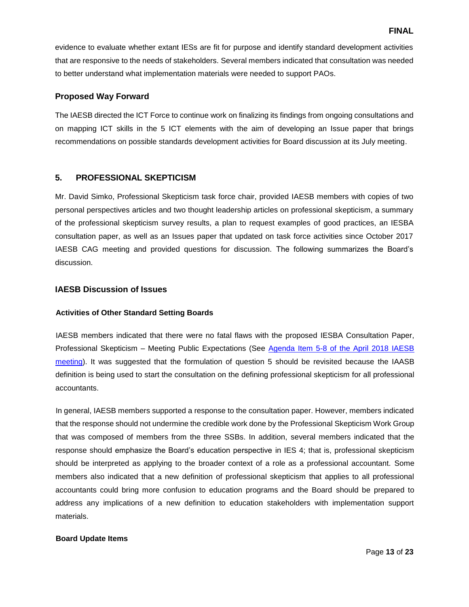evidence to evaluate whether extant IESs are fit for purpose and identify standard development activities that are responsive to the needs of stakeholders. Several members indicated that consultation was needed to better understand what implementation materials were needed to support PAOs.

## **Proposed Way Forward**

The IAESB directed the ICT Force to continue work on finalizing its findings from ongoing consultations and on mapping ICT skills in the 5 ICT elements with the aim of developing an Issue paper that brings recommendations on possible standards development activities for Board discussion at its July meeting.

# **5. PROFESSIONAL SKEPTICISM**

Mr. David Simko, Professional Skepticism task force chair, provided IAESB members with copies of two personal perspectives articles and two thought leadership articles on professional skepticism, a summary of the professional skepticism survey results, a plan to request examples of good practices, an IESBA consultation paper, as well as an Issues paper that updated on task force activities since October 2017 IAESB CAG meeting and provided questions for discussion. The following summarizes the Board's discussion.

## **IAESB Discussion of Issues**

#### **Activities of Other Standard Setting Boards**

IAESB members indicated that there were no fatal flaws with the proposed IESBA Consultation Paper, Professional Skepticism – Meeting Public Expectations (See [Agenda Item 5-8 of the April 2018 IAESB](http://www.iaesb.org/system/files/meetings/files/5-8-IESBA-Consultation-Paper-04.02.18-v3.pdf)  [meeting\)](http://www.iaesb.org/system/files/meetings/files/5-8-IESBA-Consultation-Paper-04.02.18-v3.pdf). It was suggested that the formulation of question 5 should be revisited because the IAASB definition is being used to start the consultation on the defining professional skepticism for all professional accountants.

In general, IAESB members supported a response to the consultation paper. However, members indicated that the response should not undermine the credible work done by the Professional Skepticism Work Group that was composed of members from the three SSBs. In addition, several members indicated that the response should emphasize the Board's education perspective in IES 4; that is, professional skepticism should be interpreted as applying to the broader context of a role as a professional accountant. Some members also indicated that a new definition of professional skepticism that applies to all professional accountants could bring more confusion to education programs and the Board should be prepared to address any implications of a new definition to education stakeholders with implementation support materials.

#### **Board Update Items**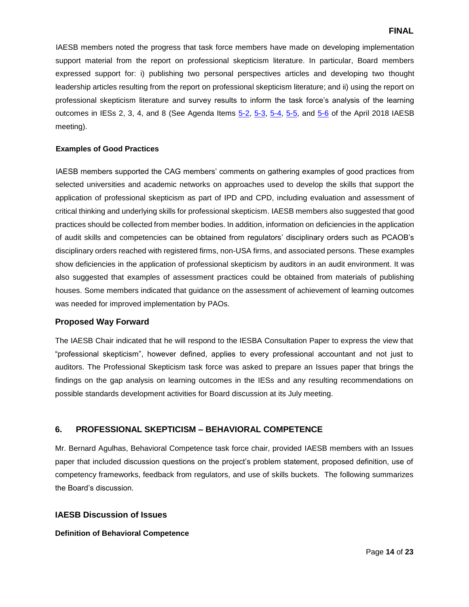IAESB members noted the progress that task force members have made on developing implementation support material from the report on professional skepticism literature. In particular, Board members expressed support for: i) publishing two personal perspectives articles and developing two thought leadership articles resulting from the report on professional skepticism literature; and ii) using the report on professional skepticism literature and survey results to inform the task force's analysis of the learning outcomes in IESs 2, 3, 4, and 8 (See Agenda Items [5-2,](http://www.iaesb.org/system/files/meetings/files/5-2-Thought-Leadership-Role-of-Bias-in-PS_FINAL.pdf) [5-3,](http://www.iaesb.org/system/files/meetings/files/5-3-IAESB-Thought-Leadership-How-Can-WE-Become-Better-Skeptics_Draft.pdf) [5-4,](http://www.iaesb.org/system/files/meetings/files/5-4-How-Professional-Skepticiism-Applies-to-All-Accountants.pdf) [5-5,](http://www.iaesb.org/system/files/meetings/files/5-5-Professional-Skepticism-and-Ethics.pdf) and [5-6](http://www.iaesb.org/system/files/meetings/files/5-6-PS-Survey-Results-Combined-and-Separate_-v2.pdf) of the April 2018 IAESB meeting).

#### **Examples of Good Practices**

IAESB members supported the CAG members' comments on gathering examples of good practices from selected universities and academic networks on approaches used to develop the skills that support the application of professional skepticism as part of IPD and CPD, including evaluation and assessment of critical thinking and underlying skills for professional skepticism. IAESB members also suggested that good practices should be collected from member bodies. In addition, information on deficiencies in the application of audit skills and competencies can be obtained from regulators' disciplinary orders such as PCAOB's disciplinary orders reached with registered firms, non-USA firms, and associated persons. These examples show deficiencies in the application of professional skepticism by auditors in an audit environment. It was also suggested that examples of assessment practices could be obtained from materials of publishing houses. Some members indicated that guidance on the assessment of achievement of learning outcomes was needed for improved implementation by PAOs.

# **Proposed Way Forward**

The IAESB Chair indicated that he will respond to the IESBA Consultation Paper to express the view that "professional skepticism", however defined, applies to every professional accountant and not just to auditors. The Professional Skepticism task force was asked to prepare an Issues paper that brings the findings on the gap analysis on learning outcomes in the IESs and any resulting recommendations on possible standards development activities for Board discussion at its July meeting.

# **6. PROFESSIONAL SKEPTICISM – BEHAVIORAL COMPETENCE**

Mr. Bernard Agulhas, Behavioral Competence task force chair, provided IAESB members with an Issues paper that included discussion questions on the project's problem statement, proposed definition, use of competency frameworks, feedback from regulators, and use of skills buckets. The following summarizes the Board's discussion.

# **IAESB Discussion of Issues**

#### **Definition of Behavioral Competence**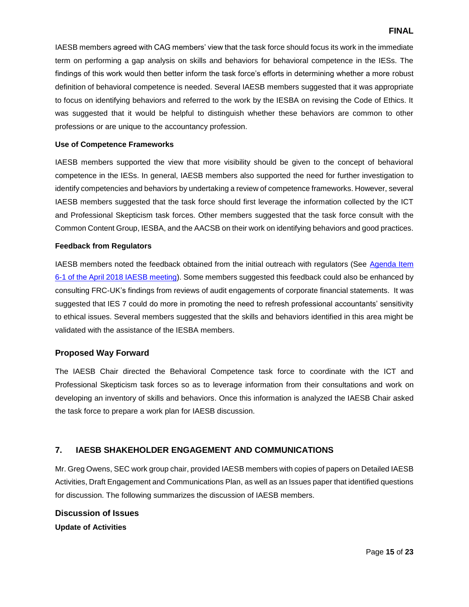IAESB members agreed with CAG members' view that the task force should focus its work in the immediate term on performing a gap analysis on skills and behaviors for behavioral competence in the IESs. The findings of this work would then better inform the task force's efforts in determining whether a more robust definition of behavioral competence is needed. Several IAESB members suggested that it was appropriate to focus on identifying behaviors and referred to the work by the IESBA on revising the Code of Ethics. It was suggested that it would be helpful to distinguish whether these behaviors are common to other professions or are unique to the accountancy profession.

#### **Use of Competence Frameworks**

IAESB members supported the view that more visibility should be given to the concept of behavioral competence in the IESs. In general, IAESB members also supported the need for further investigation to identify competencies and behaviors by undertaking a review of competence frameworks. However, several IAESB members suggested that the task force should first leverage the information collected by the ICT and Professional Skepticism task forces. Other members suggested that the task force consult with the Common Content Group, IESBA, and the AACSB on their work on identifying behaviors and good practices.

#### **Feedback from Regulators**

IAESB members noted the feedback obtained from the initial outreach with regulators (See [Agenda Item](http://www.iaesb.org/system/files/meetings/files/6-1-Behavioral-Competence-Task-Force-Update-Paper.pdf)  [6-1 of the April 2018 IAESB meeting\)](http://www.iaesb.org/system/files/meetings/files/6-1-Behavioral-Competence-Task-Force-Update-Paper.pdf). Some members suggested this feedback could also be enhanced by consulting FRC-UK's findings from reviews of audit engagements of corporate financial statements. It was suggested that IES 7 could do more in promoting the need to refresh professional accountants' sensitivity to ethical issues. Several members suggested that the skills and behaviors identified in this area might be validated with the assistance of the IESBA members.

#### **Proposed Way Forward**

The IAESB Chair directed the Behavioral Competence task force to coordinate with the ICT and Professional Skepticism task forces so as to leverage information from their consultations and work on developing an inventory of skills and behaviors. Once this information is analyzed the IAESB Chair asked the task force to prepare a work plan for IAESB discussion.

# **7. IAESB SHAKEHOLDER ENGAGEMENT AND COMMUNICATIONS**

Mr. Greg Owens, SEC work group chair, provided IAESB members with copies of papers on Detailed IAESB Activities, Draft Engagement and Communications Plan, as well as an Issues paper that identified questions for discussion. The following summarizes the discussion of IAESB members.

# **Discussion of Issues**

**Update of Activities**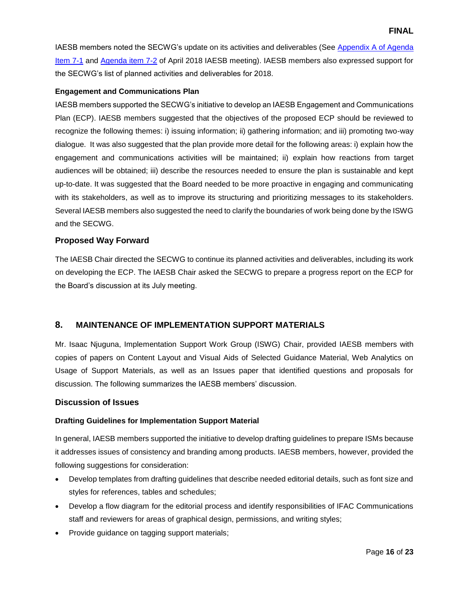IAESB members noted the SECWG's update on its activities and deliverables (See [Appendix A of Agenda](http://www.iaesb.org/system/files/meetings/files/7-1-SECWG-Issues-Paper_0.pdf)  [Item 7-1](http://www.iaesb.org/system/files/meetings/files/7-1-SECWG-Issues-Paper_0.pdf) and [Agenda item 7-2](http://www.iaesb.org/system/files/meetings/files/7-2-Appendix-B-Detailed-Activities-Grid_0.pdf) of April 2018 IAESB meeting). IAESB members also expressed support for the SECWG's list of planned activities and deliverables for 2018.

## **Engagement and Communications Plan**

IAESB members supported the SECWG's initiative to develop an IAESB Engagement and Communications Plan (ECP). IAESB members suggested that the objectives of the proposed ECP should be reviewed to recognize the following themes: i) issuing information; ii) gathering information; and iii) promoting two-way dialogue. It was also suggested that the plan provide more detail for the following areas: i) explain how the engagement and communications activities will be maintained; ii) explain how reactions from target audiences will be obtained; iii) describe the resources needed to ensure the plan is sustainable and kept up-to-date. It was suggested that the Board needed to be more proactive in engaging and communicating with its stakeholders, as well as to improve its structuring and prioritizing messages to its stakeholders. Several IAESB members also suggested the need to clarify the boundaries of work being done by the ISWG and the SECWG.

# **Proposed Way Forward**

The IAESB Chair directed the SECWG to continue its planned activities and deliverables, including its work on developing the ECP. The IAESB Chair asked the SECWG to prepare a progress report on the ECP for the Board's discussion at its July meeting.

# **8. MAINTENANCE OF IMPLEMENTATION SUPPORT MATERIALS**

Mr. Isaac Njuguna, Implementation Support Work Group (ISWG) Chair, provided IAESB members with copies of papers on Content Layout and Visual Aids of Selected Guidance Material, Web Analytics on Usage of Support Materials, as well as an Issues paper that identified questions and proposals for discussion. The following summarizes the IAESB members' discussion.

#### **Discussion of Issues**

# **Drafting Guidelines for Implementation Support Material**

In general, IAESB members supported the initiative to develop drafting guidelines to prepare ISMs because it addresses issues of consistency and branding among products. IAESB members, however, provided the following suggestions for consideration:

- Develop templates from drafting guidelines that describe needed editorial details, such as font size and styles for references, tables and schedules;
- Develop a flow diagram for the editorial process and identify responsibilities of IFAC Communications staff and reviewers for areas of graphical design, permissions, and writing styles;
- Provide guidance on tagging support materials;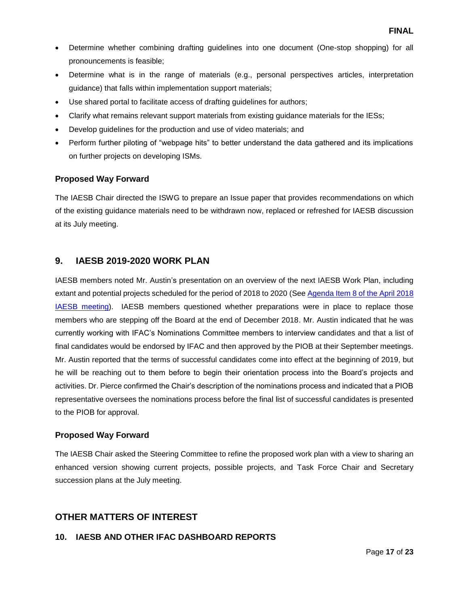- Determine whether combining drafting guidelines into one document (One-stop shopping) for all pronouncements is feasible;
- Determine what is in the range of materials (e.g., personal perspectives articles, interpretation guidance) that falls within implementation support materials;
- Use shared portal to facilitate access of drafting guidelines for authors;
- Clarify what remains relevant support materials from existing guidance materials for the IESs;
- Develop guidelines for the production and use of video materials; and
- Perform further piloting of "webpage hits" to better understand the data gathered and its implications on further projects on developing ISMs.

# **Proposed Way Forward**

The IAESB Chair directed the ISWG to prepare an Issue paper that provides recommendations on which of the existing guidance materials need to be withdrawn now, replaced or refreshed for IAESB discussion at its July meeting.

# **9. IAESB 2019-2020 WORK PLAN**

IAESB members noted Mr. Austin's presentation on an overview of the next IAESB Work Plan, including extant and potential projects scheduled for the period of 2018 to 2020 (Se[e Agenda Item 8 of the April 2018](http://www.iaesb.org/system/files/meetings/files/Agenda-8-IAESB-2019-2021-Work-Plan.pdf)  [IAESB meeting\)](http://www.iaesb.org/system/files/meetings/files/Agenda-8-IAESB-2019-2021-Work-Plan.pdf). IAESB members questioned whether preparations were in place to replace those members who are stepping off the Board at the end of December 2018. Mr. Austin indicated that he was currently working with IFAC's Nominations Committee members to interview candidates and that a list of final candidates would be endorsed by IFAC and then approved by the PIOB at their September meetings. Mr. Austin reported that the terms of successful candidates come into effect at the beginning of 2019, but he will be reaching out to them before to begin their orientation process into the Board's projects and activities. Dr. Pierce confirmed the Chair's description of the nominations process and indicated that a PIOB representative oversees the nominations process before the final list of successful candidates is presented to the PIOB for approval.

# **Proposed Way Forward**

The IAESB Chair asked the Steering Committee to refine the proposed work plan with a view to sharing an enhanced version showing current projects, possible projects, and Task Force Chair and Secretary succession plans at the July meeting.

# **OTHER MATTERS OF INTEREST**

# **10. IAESB AND OTHER IFAC DASHBOARD REPORTS**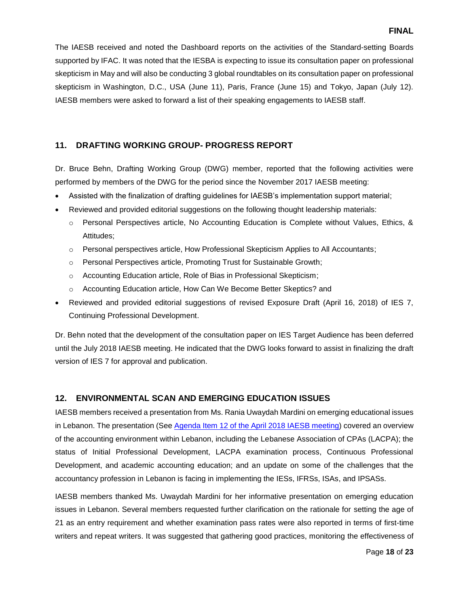The IAESB received and noted the Dashboard reports on the activities of the Standard-setting Boards supported by IFAC. It was noted that the IESBA is expecting to issue its consultation paper on professional skepticism in May and will also be conducting 3 global roundtables on its consultation paper on professional skepticism in Washington, D.C., USA (June 11), Paris, France (June 15) and Tokyo, Japan (July 12). IAESB members were asked to forward a list of their speaking engagements to IAESB staff.

# **11. DRAFTING WORKING GROUP- PROGRESS REPORT**

Dr. Bruce Behn, Drafting Working Group (DWG) member, reported that the following activities were performed by members of the DWG for the period since the November 2017 IAESB meeting:

- Assisted with the finalization of drafting guidelines for IAESB's implementation support material;
- Reviewed and provided editorial suggestions on the following thought leadership materials:
	- o Personal Perspectives article, No Accounting Education is Complete without Values, Ethics, & Attitudes;
	- o Personal perspectives article, How Professional Skepticism Applies to All Accountants;
	- o Personal Perspectives article, Promoting Trust for Sustainable Growth;
	- o Accounting Education article, Role of Bias in Professional Skepticism;
	- o Accounting Education article, How Can We Become Better Skeptics? and
- Reviewed and provided editorial suggestions of revised Exposure Draft (April 16, 2018) of IES 7, Continuing Professional Development.

Dr. Behn noted that the development of the consultation paper on IES Target Audience has been deferred until the July 2018 IAESB meeting. He indicated that the DWG looks forward to assist in finalizing the draft version of IES 7 for approval and publication.

# **12. ENVIRONMENTAL SCAN AND EMERGING EDUCATION ISSUES**

IAESB members received a presentation from Ms. Rania Uwaydah Mardini on emerging educational issues in Lebanon. The presentation (See [Agenda Item 12 of the April 2018 IAESB meeting\)](http://www.iaesb.org/system/files/meetings/files/Accountancy-in-Lebanon.pdf) covered an overview of the accounting environment within Lebanon, including the Lebanese Association of CPAs (LACPA); the status of Initial Professional Development, LACPA examination process, Continuous Professional Development, and academic accounting education; and an update on some of the challenges that the accountancy profession in Lebanon is facing in implementing the IESs, IFRSs, ISAs, and IPSASs.

IAESB members thanked Ms. Uwaydah Mardini for her informative presentation on emerging education issues in Lebanon. Several members requested further clarification on the rationale for setting the age of 21 as an entry requirement and whether examination pass rates were also reported in terms of first-time writers and repeat writers. It was suggested that gathering good practices, monitoring the effectiveness of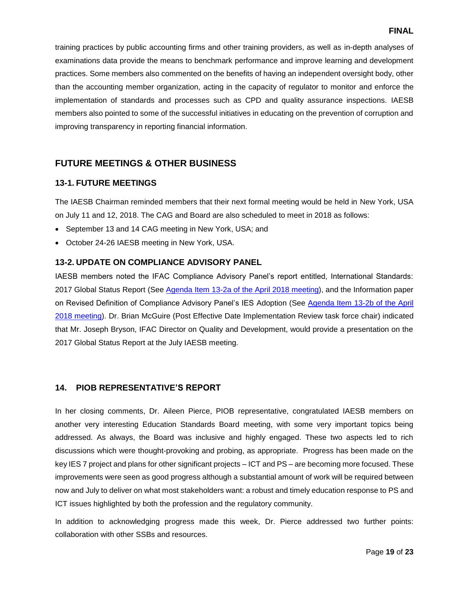training practices by public accounting firms and other training providers, as well as in-depth analyses of examinations data provide the means to benchmark performance and improve learning and development practices. Some members also commented on the benefits of having an independent oversight body, other than the accounting member organization, acting in the capacity of regulator to monitor and enforce the implementation of standards and processes such as CPD and quality assurance inspections. IAESB members also pointed to some of the successful initiatives in educating on the prevention of corruption and improving transparency in reporting financial information.

# **FUTURE MEETINGS & OTHER BUSINESS**

# **13-1. FUTURE MEETINGS**

The IAESB Chairman reminded members that their next formal meeting would be held in New York, USA on July 11 and 12, 2018. The CAG and Board are also scheduled to meet in 2018 as follows:

- September 13 and 14 CAG meeting in New York, USA; and
- October 24-26 IAESB meeting in New York, USA.

# **13-2. UPDATE ON COMPLIANCE ADVISORY PANEL**

IAESB members noted the IFAC Compliance Advisory Panel's report entitled, International Standards: 2017 Global Status Report (See [Agenda Item 13-2a of the April 2018 meeting\)](http://www.iaesb.org/system/files/meetings/files/13-2-International-Standards-2017-Global-Status-Report-FINAL.pdf), and the Information paper on Revised Definition of Compliance Advisory Panel's IES Adoption (See [Agenda Item 13-2b of the April](http://www.iaesb.org/system/files/meetings/files/13-2B-Revised-Definition-for-IES-Adoption.pdf)  [2018 meeting\)](http://www.iaesb.org/system/files/meetings/files/13-2B-Revised-Definition-for-IES-Adoption.pdf). Dr. Brian McGuire (Post Effective Date Implementation Review task force chair) indicated that Mr. Joseph Bryson, IFAC Director on Quality and Development, would provide a presentation on the 2017 Global Status Report at the July IAESB meeting.

# **14. PIOB REPRESENTATIVE'S REPORT**

In her closing comments, Dr. Aileen Pierce, PIOB representative, congratulated IAESB members on another very interesting Education Standards Board meeting, with some very important topics being addressed. As always, the Board was inclusive and highly engaged. These two aspects led to rich discussions which were thought-provoking and probing, as appropriate. Progress has been made on the key IES 7 project and plans for other significant projects – ICT and PS – are becoming more focused. These improvements were seen as good progress although a substantial amount of work will be required between now and July to deliver on what most stakeholders want: a robust and timely education response to PS and ICT issues highlighted by both the profession and the regulatory community.

In addition to acknowledging progress made this week, Dr. Pierce addressed two further points: collaboration with other SSBs and resources.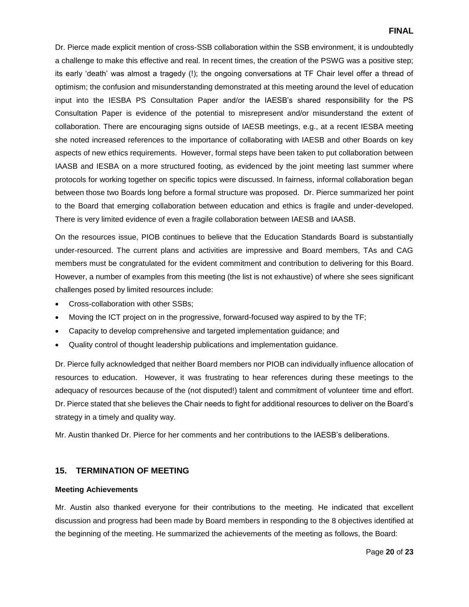Dr. Pierce made explicit mention of cross-SSB collaboration within the SSB environment, it is undoubtedly a challenge to make this effective and real. In recent times, the creation of the PSWG was a positive step; its early 'death' was almost a tragedy (!); the ongoing conversations at TF Chair level offer a thread of optimism; the confusion and misunderstanding demonstrated at this meeting around the level of education input into the IESBA PS Consultation Paper and/or the IAESB's shared responsibility for the PS Consultation Paper is evidence of the potential to misrepresent and/or misunderstand the extent of collaboration. There are encouraging signs outside of IAESB meetings, e.g., at a recent IESBA meeting she noted increased references to the importance of collaborating with IAESB and other Boards on key aspects of new ethics requirements. However, formal steps have been taken to put collaboration between IAASB and IESBA on a more structured footing, as evidenced by the joint meeting last summer where protocols for working together on specific topics were discussed. In fairness, informal collaboration began between those two Boards long before a formal structure was proposed. Dr. Pierce summarized her point to the Board that emerging collaboration between education and ethics is fragile and under-developed. There is very limited evidence of even a fragile collaboration between IAESB and IAASB.

On the resources issue, PIOB continues to believe that the Education Standards Board is substantially under-resourced. The current plans and activities are impressive and Board members, TAs and CAG members must be congratulated for the evident commitment and contribution to delivering for this Board. However, a number of examples from this meeting (the list is not exhaustive) of where she sees significant challenges posed by limited resources include:

- Cross-collaboration with other SSBs;
- Moving the ICT project on in the progressive, forward-focused way aspired to by the TF;
- Capacity to develop comprehensive and targeted implementation guidance; and
- Quality control of thought leadership publications and implementation guidance.

Dr. Pierce fully acknowledged that neither Board members nor PIOB can individually influence allocation of resources to education. However, it was frustrating to hear references during these meetings to the adequacy of resources because of the (not disputed!) talent and commitment of volunteer time and effort. Dr. Pierce stated that she believes the Chair needs to fight for additional resources to deliver on the Board's strategy in a timely and quality way.

Mr. Austin thanked Dr. Pierce for her comments and her contributions to the IAESB's deliberations.

## **15. TERMINATION OF MEETING**

#### **Meeting Achievements**

Mr. Austin also thanked everyone for their contributions to the meeting. He indicated that excellent discussion and progress had been made by Board members in responding to the 8 objectives identified at the beginning of the meeting. He summarized the achievements of the meeting as follows, the Board: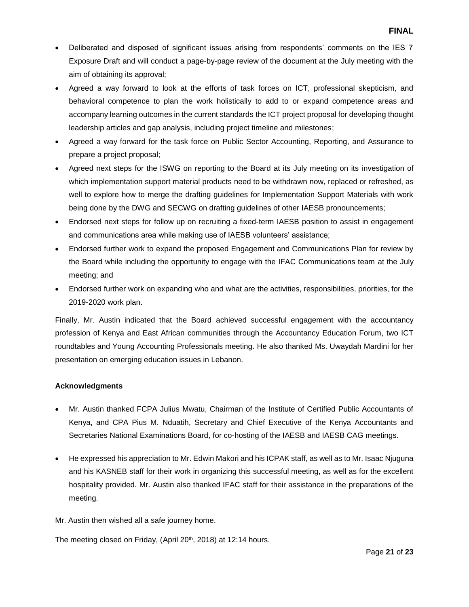- Deliberated and disposed of significant issues arising from respondents' comments on the IES 7 Exposure Draft and will conduct a page-by-page review of the document at the July meeting with the aim of obtaining its approval;
- Agreed a way forward to look at the efforts of task forces on ICT, professional skepticism, and behavioral competence to plan the work holistically to add to or expand competence areas and accompany learning outcomes in the current standards the ICT project proposal for developing thought leadership articles and gap analysis, including project timeline and milestones;
- Agreed a way forward for the task force on Public Sector Accounting, Reporting, and Assurance to prepare a project proposal;
- Agreed next steps for the ISWG on reporting to the Board at its July meeting on its investigation of which implementation support material products need to be withdrawn now, replaced or refreshed, as well to explore how to merge the drafting guidelines for Implementation Support Materials with work being done by the DWG and SECWG on drafting guidelines of other IAESB pronouncements;
- Endorsed next steps for follow up on recruiting a fixed-term IAESB position to assist in engagement and communications area while making use of IAESB volunteers' assistance;
- Endorsed further work to expand the proposed Engagement and Communications Plan for review by the Board while including the opportunity to engage with the IFAC Communications team at the July meeting; and
- Endorsed further work on expanding who and what are the activities, responsibilities, priorities, for the 2019-2020 work plan.

Finally, Mr. Austin indicated that the Board achieved successful engagement with the accountancy profession of Kenya and East African communities through the Accountancy Education Forum, two ICT roundtables and Young Accounting Professionals meeting. He also thanked Ms. Uwaydah Mardini for her presentation on emerging education issues in Lebanon.

# **Acknowledgments**

- Mr. Austin thanked FCPA Julius Mwatu, Chairman of the Institute of Certified Public Accountants of Kenya, and CPA Pius M. Nduatih, Secretary and Chief Executive of the Kenya Accountants and Secretaries National Examinations Board, for co-hosting of the IAESB and IAESB CAG meetings.
- He expressed his appreciation to Mr. Edwin Makori and his ICPAK staff, as well as to Mr. Isaac Njuguna and his KASNEB staff for their work in organizing this successful meeting, as well as for the excellent hospitality provided. Mr. Austin also thanked IFAC staff for their assistance in the preparations of the meeting.

Mr. Austin then wished all a safe journey home.

The meeting closed on Friday, (April 20<sup>th</sup>, 2018) at 12:14 hours.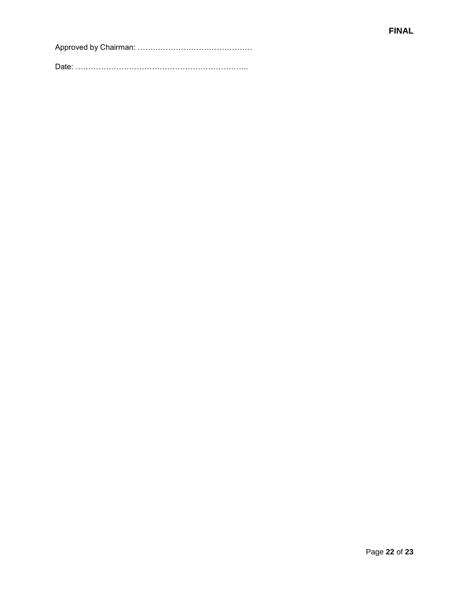Approved by Chairman: ………………………………………

Date: …………………………………………………………..